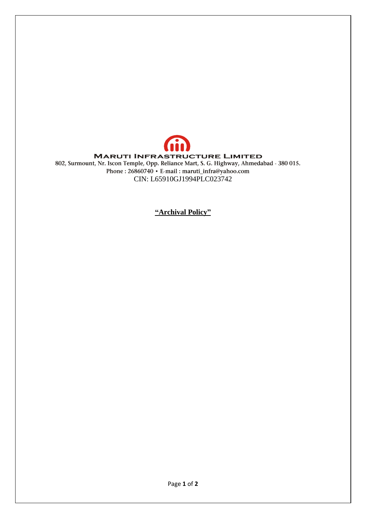

**"Archival Policy"**